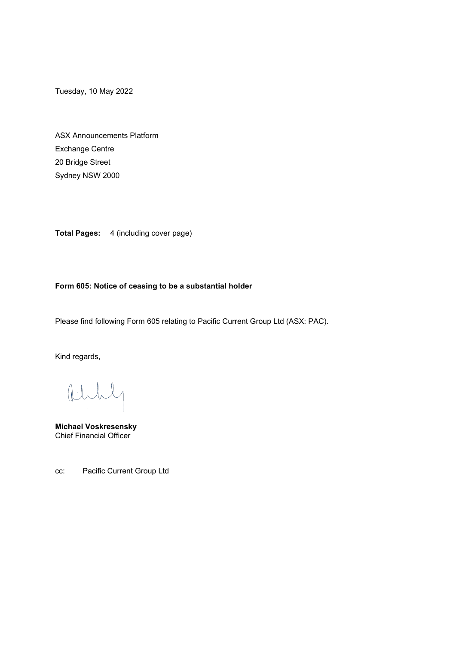Tuesday, 10 May 2022

ASX Announcements Platform Exchange Centre 20 Bridge Street Sydney NSW 2000

**Total Pages:** 4 (including cover page)

# **Form 605: Notice of ceasing to be a substantial holder**

Please find following Form 605 relating to Pacific Current Group Ltd (ASX: PAC).

Kind regards,

Ml  $\bigoplus \hspace{-3.5pt}\cdot \hspace{3.5pt}\cdot \hspace{3.5pt}\bigg)$ 

**Michael Voskresensky**  Chief Financial Officer

cc: Pacific Current Group Ltd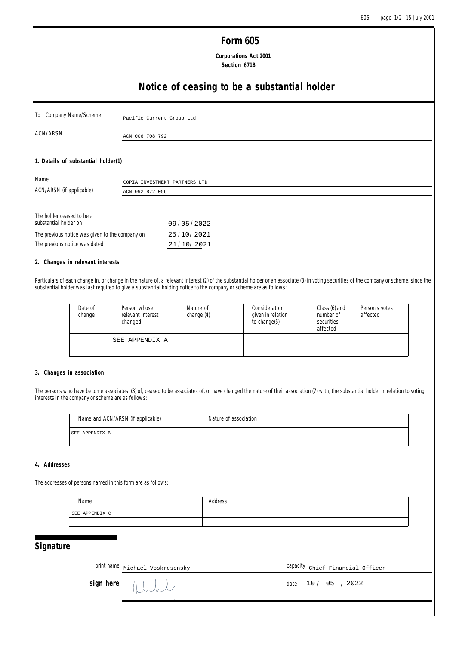# **Form 605**

 **Corporations Act 2001 Section 671B**

# **Notice of ceasing to be a substantial holder**

| To Company Name/Scheme              | Pacific Current Group Ltd     |  |  |
|-------------------------------------|-------------------------------|--|--|
| ACN/ARSN                            | ACN 006 708 792               |  |  |
| 1. Details of substantial holder(1) |                               |  |  |
| Name                                | COPIA INVESTMENT PARTNERS LTD |  |  |
| ACN/ARSN (if applicable)            | ACN 092 872 056               |  |  |
| The holder ceased to be a           |                               |  |  |

| substantial holder on                           | 09/05/2022 |
|-------------------------------------------------|------------|
| The previous notice was given to the company on | 25/10/2021 |
| The previous notice was dated                   | 21/10/2021 |

#### **2. Changes in relevant interests**

Particulars of each change in, or change in the nature of, a relevant interest (2) of the substantial holder or an associate (3) in voting securities of the company or scheme, since the substantial holder was last required to give a substantial holding notice to the company or scheme are as follows:

| Date of<br>change | Person whose<br>relevant interest<br>changed | Nature of<br>change (4) | Consideration<br>given in relation<br>to change(5) | Class (6) and<br>number of<br>securities<br>affected | Person's votes<br>affected |
|-------------------|----------------------------------------------|-------------------------|----------------------------------------------------|------------------------------------------------------|----------------------------|
|                   | SEE APPENDIX A                               |                         |                                                    |                                                      |                            |
|                   |                                              |                         |                                                    |                                                      |                            |

#### **3. Changes in association**

The persons who have become associates (3) of, ceased to be associates of, or have changed the nature of their association (7) with, the substantial holder in relation to voting interests in the company or scheme are as follows:

| Name and ACN/ARSN (if applicable) | Nature of association |
|-----------------------------------|-----------------------|
| ISEE APPENDIX B                   |                       |
|                                   |                       |

#### **4. Addresses**

The addresses of persons named in this form are as follows:

| Name           | Address |
|----------------|---------|
| SEE APPENDIX C |         |
|                |         |

## **Signature**

print name Michael Voskresensky

Capacity Chief Financial Officer

**sign here**  $\begin{matrix} 1 & 1 & 1 \\ 1 & 1 & 1 \end{matrix}$   $\begin{matrix} 1 & 1 & 1 \\ 1 & 1 & 1 \end{matrix}$  also a date 10 / 05 / 2022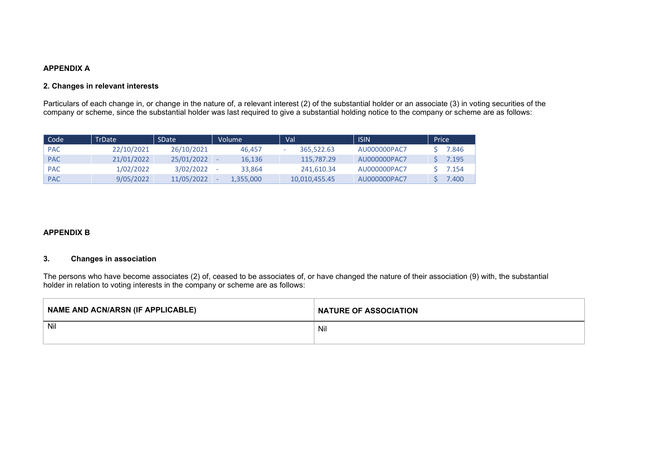# **APPENDIX A**

### **2. Changes in relevant interests**

Particulars of each change in, or change in the nature of, a relevant interest (2) of the substantial holder or an associate (3) in voting securities of the company or scheme, since the substantial holder was last required to give a substantial holding notice to the company or scheme are as follows:

| Code       | <b>TrDate</b> | SDate <sup>1</sup> | Volume    | Val           | <b>ISIN</b>  | <b>Price</b> |
|------------|---------------|--------------------|-----------|---------------|--------------|--------------|
| <b>PAC</b> | 22/10/2021    | 26/10/2021         | 46.457    | 365,522,63    | AU000000PAC7 | 7.846        |
| <b>PAC</b> | 21/01/2022    | 25/01/2022         | 16.136    | 115.787.29    | AU000000PAC7 | 7.195        |
| <b>PAC</b> | 1/02/2022     | 3/02/2022          | 33.864    | 241.610.34    | AU000000PAC7 | 7.154        |
| <b>PAC</b> | 9/05/2022     | 11/05/2022         | 1.355.000 | 10.010.455.45 | AU000000PAC7 | '400'        |

# **APPENDIX B**

# **3. Changes in association**

The persons who have become associates (2) of, ceased to be associates of, or have changed the nature of their association (9) with, the substantial holder in relation to voting interests in the company or scheme are as follows:

| <b>NAME AND ACN/ARSN (IF APPLICABLE)</b> | <b>NATURE OF ASSOCIATION</b> |
|------------------------------------------|------------------------------|
| Nil                                      | Nil                          |